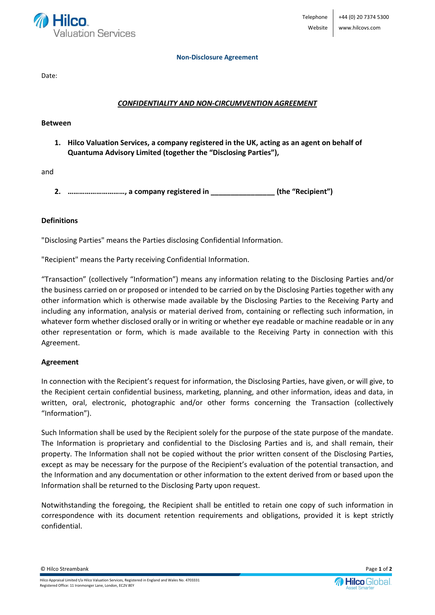

#### **Non-Disclosure Agreement**

Date:

# *CONFIDENTIALITY AND NON-CIRCUMVENTION AGREEMENT*

### **Between**

**1. Hilco Valuation Services, a company registered in the UK, acting as an agent on behalf of Quantuma Advisory Limited (together the "Disclosing Parties"),** 

and

**2. …………………………, a company registered in \_\_\_\_\_\_\_\_\_\_\_\_\_\_\_\_ (the "Recipient")**

## **Definitions**

"Disclosing Parties" means the Parties disclosing Confidential Information.

"Recipient" means the Party receiving Confidential Information.

"Transaction" (collectively "Information") means any information relating to the Disclosing Parties and/or the business carried on or proposed or intended to be carried on by the Disclosing Parties together with any other information which is otherwise made available by the Disclosing Parties to the Receiving Party and including any information, analysis or material derived from, containing or reflecting such information, in whatever form whether disclosed orally or in writing or whether eye readable or machine readable or in any other representation or form, which is made available to the Receiving Party in connection with this Agreement.

## **Agreement**

In connection with the Recipient's request for information, the Disclosing Parties, have given, or will give, to the Recipient certain confidential business, marketing, planning, and other information, ideas and data, in written, oral, electronic, photographic and/or other forms concerning the Transaction (collectively "Information").

Such Information shall be used by the Recipient solely for the purpose of the state purpose of the mandate. The Information is proprietary and confidential to the Disclosing Parties and is, and shall remain, their property. The Information shall not be copied without the prior written consent of the Disclosing Parties, except as may be necessary for the purpose of the Recipient's evaluation of the potential transaction, and the Information and any documentation or other information to the extent derived from or based upon the Information shall be returned to the Disclosing Party upon request.

Notwithstanding the foregoing, the Recipient shall be entitled to retain one copy of such information in correspondence with its document retention requirements and obligations, provided it is kept strictly confidential.

© Hilco Streambank Page **1** of **2**